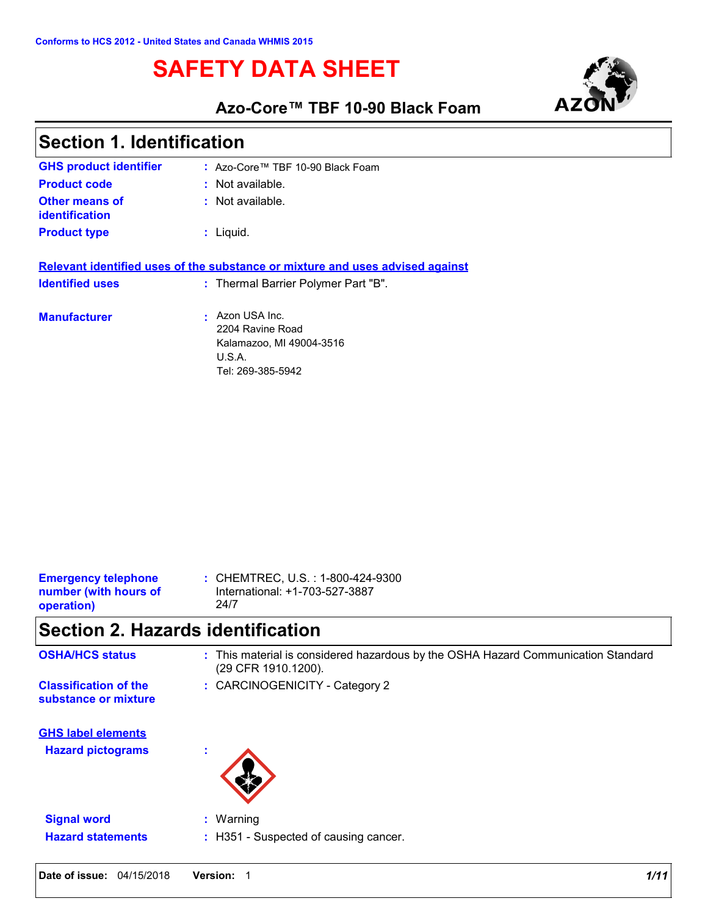# **SAFETY DATA SHEET**



### **Azo-Core™ TBF 10-90 Black Foam**

| Section 1. Identification                      |                                                                                                                      |
|------------------------------------------------|----------------------------------------------------------------------------------------------------------------------|
| <b>GHS product identifier</b>                  | $\therefore$ Azo-Core™ TBF 10-90 Black Foam                                                                          |
| <b>Product code</b>                            | : Not available.                                                                                                     |
| <b>Other means of</b><br><b>identification</b> | $:$ Not available.                                                                                                   |
| <b>Product type</b>                            | $:$ Liquid.                                                                                                          |
| <b>Identified uses</b>                         | Relevant identified uses of the substance or mixture and uses advised against<br>: Thermal Barrier Polymer Part "B". |
| <b>Manufacturer</b>                            | Azon USA Inc.<br>$\mathbf{r}$ .<br>2204 Ravine Road<br>Kalamazoo, MI 49004-3516<br>U.S.A.<br>Tel: 269-385-5942       |

| operation)                 | 24/7                              |
|----------------------------|-----------------------------------|
| number (with hours of      | International: +1-703-527-3887    |
| <b>Emergency telephone</b> | : CHEMTREC, U.S. : 1-800-424-9300 |

## **Section 2. Hazards identification**

| <b>OSHA/HCS status</b>                               | : This material is considered hazardous by the OSHA Hazard Communication Standard<br>(29 CFR 1910.1200). |
|------------------------------------------------------|----------------------------------------------------------------------------------------------------------|
| <b>Classification of the</b><br>substance or mixture | : CARCINOGENICITY - Category 2                                                                           |
| <b>GHS label elements</b>                            |                                                                                                          |
| <b>Hazard pictograms</b>                             | ж.                                                                                                       |
| <b>Signal word</b>                                   | $:$ Warning                                                                                              |
| <b>Hazard statements</b>                             | : H351 - Suspected of causing cancer.                                                                    |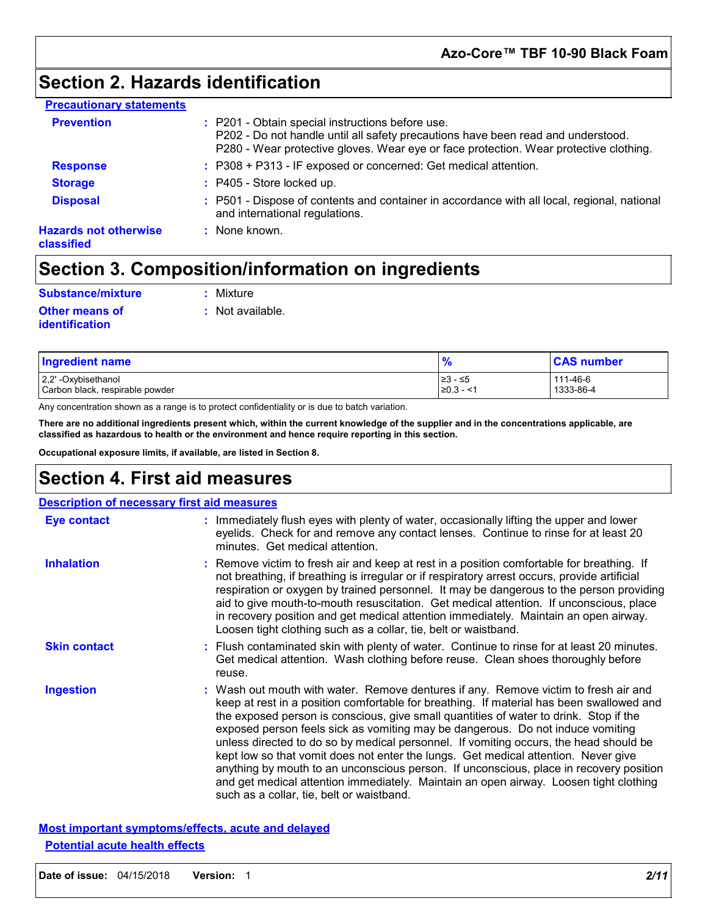### **Section 2. Hazards identification**

| <b>Precautionary statements</b>                   |                                                                                                                                                                                                                               |
|---------------------------------------------------|-------------------------------------------------------------------------------------------------------------------------------------------------------------------------------------------------------------------------------|
| <b>Prevention</b>                                 | : P201 - Obtain special instructions before use.<br>P202 - Do not handle until all safety precautions have been read and understood.<br>P280 - Wear protective gloves. Wear eye or face protection. Wear protective clothing. |
| <b>Response</b>                                   | : P308 + P313 - IF exposed or concerned: Get medical attention.                                                                                                                                                               |
| <b>Storage</b>                                    | : P405 - Store locked up.                                                                                                                                                                                                     |
| <b>Disposal</b>                                   | : P501 - Dispose of contents and container in accordance with all local, regional, national<br>and international regulations.                                                                                                 |
| <b>Hazards not otherwise</b><br><b>classified</b> | : None known.                                                                                                                                                                                                                 |

### **Section 3. Composition/information on ingredients**

**:** Not available.

Mixture

| <b>Substance/mixture</b> | : Mixi |
|--------------------------|--------|
| <b>Other means of</b>    | : Not  |
| identification           |        |

| <b>Ingredient name</b>          | 70             | <b>CAS number</b> |
|---------------------------------|----------------|-------------------|
| 2,2'-Oxybisethanol              | ≥3 - ≤5        | 111-46-6          |
| Carbon black, respirable powder | $\geq 0.3 - 1$ | 1333-86-4         |

Any concentration shown as a range is to protect confidentiality or is due to batch variation.

**There are no additional ingredients present which, within the current knowledge of the supplier and in the concentrations applicable, are classified as hazardous to health or the environment and hence require reporting in this section.**

**Occupational exposure limits, if available, are listed in Section 8.**

### **Section 4. First aid measures**

| Eye contact         | : Immediately flush eyes with plenty of water, occasionally lifting the upper and lower<br>eyelids. Check for and remove any contact lenses. Continue to rinse for at least 20<br>minutes. Get medical attention.                                                                                                                                                                                                                                                                                                                                                                                                                                                                                                                                                         |
|---------------------|---------------------------------------------------------------------------------------------------------------------------------------------------------------------------------------------------------------------------------------------------------------------------------------------------------------------------------------------------------------------------------------------------------------------------------------------------------------------------------------------------------------------------------------------------------------------------------------------------------------------------------------------------------------------------------------------------------------------------------------------------------------------------|
| <b>Inhalation</b>   | : Remove victim to fresh air and keep at rest in a position comfortable for breathing. If<br>not breathing, if breathing is irregular or if respiratory arrest occurs, provide artificial<br>respiration or oxygen by trained personnel. It may be dangerous to the person providing<br>aid to give mouth-to-mouth resuscitation. Get medical attention. If unconscious, place<br>in recovery position and get medical attention immediately. Maintain an open airway.<br>Loosen tight clothing such as a collar, tie, belt or waistband.                                                                                                                                                                                                                                 |
| <b>Skin contact</b> | : Flush contaminated skin with plenty of water. Continue to rinse for at least 20 minutes.<br>Get medical attention. Wash clothing before reuse. Clean shoes thoroughly before<br>reuse.                                                                                                                                                                                                                                                                                                                                                                                                                                                                                                                                                                                  |
| <b>Ingestion</b>    | : Wash out mouth with water. Remove dentures if any. Remove victim to fresh air and<br>keep at rest in a position comfortable for breathing. If material has been swallowed and<br>the exposed person is conscious, give small quantities of water to drink. Stop if the<br>exposed person feels sick as vomiting may be dangerous. Do not induce vomiting<br>unless directed to do so by medical personnel. If vomiting occurs, the head should be<br>kept low so that vomit does not enter the lungs. Get medical attention. Never give<br>anything by mouth to an unconscious person. If unconscious, place in recovery position<br>and get medical attention immediately. Maintain an open airway. Loosen tight clothing<br>such as a collar, tie, belt or waistband. |

#### **Most important symptoms/effects, acute and delayed Potential acute health effects**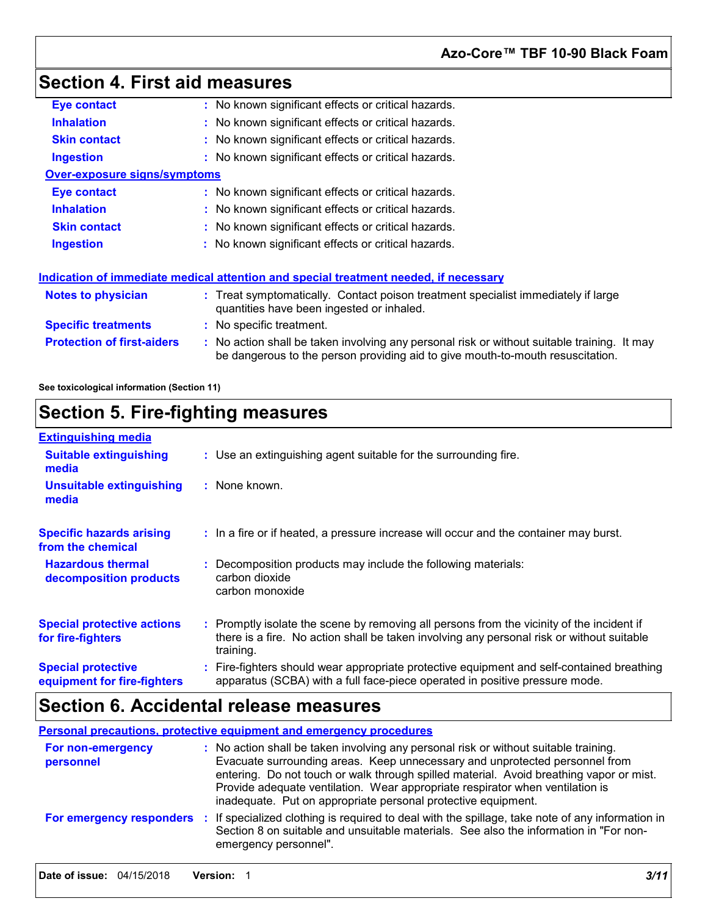## **Section 4. First aid measures**

| Eye contact                         | : No known significant effects or critical hazards.                                                                                                                         |
|-------------------------------------|-----------------------------------------------------------------------------------------------------------------------------------------------------------------------------|
| <b>Inhalation</b>                   | : No known significant effects or critical hazards.                                                                                                                         |
| <b>Skin contact</b>                 | : No known significant effects or critical hazards.                                                                                                                         |
| <b>Ingestion</b>                    | : No known significant effects or critical hazards.                                                                                                                         |
| <b>Over-exposure signs/symptoms</b> |                                                                                                                                                                             |
| Eye contact                         | : No known significant effects or critical hazards.                                                                                                                         |
| <b>Inhalation</b>                   | : No known significant effects or critical hazards.                                                                                                                         |
| <b>Skin contact</b>                 | No known significant effects or critical hazards.                                                                                                                           |
| <b>Ingestion</b>                    | : No known significant effects or critical hazards.                                                                                                                         |
|                                     | Indication of immediate medical attention and special treatment needed, if necessary                                                                                        |
| Notes to physician                  | : Treat symptomatically. Contact poison treatment specialist immediately if large<br>quantities have been ingested or inhaled.                                              |
| <b>Specific treatments</b>          | : No specific treatment.                                                                                                                                                    |
| <b>Protection of first-aiders</b>   | No action shall be taken involving any personal risk or without suitable training. It may<br>be dangerous to the person providing aid to give mouth-to-mouth resuscitation. |
|                                     |                                                                                                                                                                             |

**See toxicological information (Section 11)**

## **Section 5. Fire-fighting measures**

| <b>Extinguishing media</b>                               |                                                                                                                                                                                                     |
|----------------------------------------------------------|-----------------------------------------------------------------------------------------------------------------------------------------------------------------------------------------------------|
| <b>Suitable extinguishing</b><br>media                   | : Use an extinguishing agent suitable for the surrounding fire.                                                                                                                                     |
| <b>Unsuitable extinguishing</b><br>media                 | : None known.                                                                                                                                                                                       |
| <b>Specific hazards arising</b><br>from the chemical     | : In a fire or if heated, a pressure increase will occur and the container may burst.                                                                                                               |
| <b>Hazardous thermal</b><br>decomposition products       | Decomposition products may include the following materials:<br>carbon dioxide<br>carbon monoxide                                                                                                    |
| <b>Special protective actions</b><br>for fire-fighters   | : Promptly isolate the scene by removing all persons from the vicinity of the incident if<br>there is a fire. No action shall be taken involving any personal risk or without suitable<br>training. |
| <b>Special protective</b><br>equipment for fire-fighters | Fire-fighters should wear appropriate protective equipment and self-contained breathing<br>apparatus (SCBA) with a full face-piece operated in positive pressure mode.                              |

## **Section 6. Accidental release measures**

**Personal precautions, protective equipment and emergency procedures**

| For non-emergency<br>personnel | : No action shall be taken involving any personal risk or without suitable training.<br>Evacuate surrounding areas. Keep unnecessary and unprotected personnel from<br>entering. Do not touch or walk through spilled material. Avoid breathing vapor or mist.<br>Provide adequate ventilation. Wear appropriate respirator when ventilation is<br>inadequate. Put on appropriate personal protective equipment. |
|--------------------------------|------------------------------------------------------------------------------------------------------------------------------------------------------------------------------------------------------------------------------------------------------------------------------------------------------------------------------------------------------------------------------------------------------------------|
|                                | For emergency responders : If specialized clothing is required to deal with the spillage, take note of any information in<br>Section 8 on suitable and unsuitable materials. See also the information in "For non-<br>emergency personnel".                                                                                                                                                                      |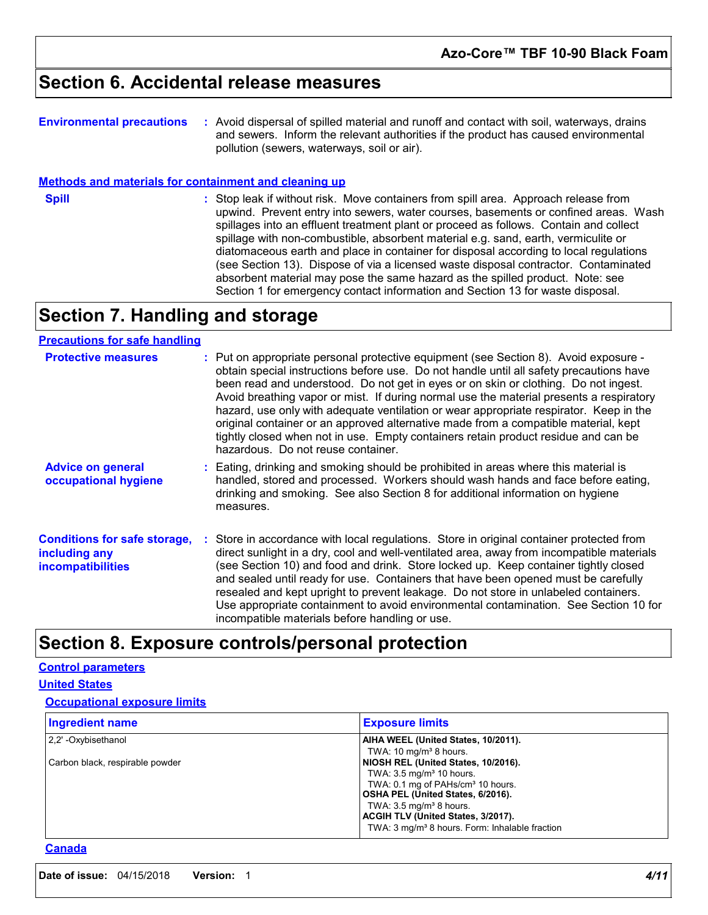### **Section 6. Accidental release measures**

| <b>Environmental precautions</b> | : Avoid dispersal of spilled material and runoff and contact with soil, waterways, drains |
|----------------------------------|-------------------------------------------------------------------------------------------|
|                                  | and sewers. Inform the relevant authorities if the product has caused environmental       |
|                                  | pollution (sewers, waterways, soil or air).                                               |

#### **Methods and materials for containment and cleaning up**

**Spill** Stop leak if without risk. Move containers from spill area. Approach release from spill area. Approach release from upwind. Prevent entry into sewers, water courses, basements or confined areas. Wash spillages into an effluent treatment plant or proceed as follows. Contain and collect spillage with non-combustible, absorbent material e.g. sand, earth, vermiculite or diatomaceous earth and place in container for disposal according to local regulations (see Section 13). Dispose of via a licensed waste disposal contractor. Contaminated absorbent material may pose the same hazard as the spilled product. Note: see Section 1 for emergency contact information and Section 13 for waste disposal.

## **Section 7. Handling and storage**

### **Precautions for safe handling**

| <b>Protective measures</b>                                                       | : Put on appropriate personal protective equipment (see Section 8). Avoid exposure -<br>obtain special instructions before use. Do not handle until all safety precautions have<br>been read and understood. Do not get in eyes or on skin or clothing. Do not ingest.<br>Avoid breathing vapor or mist. If during normal use the material presents a respiratory<br>hazard, use only with adequate ventilation or wear appropriate respirator. Keep in the<br>original container or an approved alternative made from a compatible material, kept<br>tightly closed when not in use. Empty containers retain product residue and can be<br>hazardous. Do not reuse container. |
|----------------------------------------------------------------------------------|--------------------------------------------------------------------------------------------------------------------------------------------------------------------------------------------------------------------------------------------------------------------------------------------------------------------------------------------------------------------------------------------------------------------------------------------------------------------------------------------------------------------------------------------------------------------------------------------------------------------------------------------------------------------------------|
| <b>Advice on general</b><br>occupational hygiene                                 | : Eating, drinking and smoking should be prohibited in areas where this material is<br>handled, stored and processed. Workers should wash hands and face before eating,<br>drinking and smoking. See also Section 8 for additional information on hygiene<br>measures.                                                                                                                                                                                                                                                                                                                                                                                                         |
| <b>Conditions for safe storage,</b><br>including any<br><b>incompatibilities</b> | : Store in accordance with local regulations. Store in original container protected from<br>direct sunlight in a dry, cool and well-ventilated area, away from incompatible materials<br>(see Section 10) and food and drink. Store locked up. Keep container tightly closed<br>and sealed until ready for use. Containers that have been opened must be carefully<br>resealed and kept upright to prevent leakage. Do not store in unlabeled containers.<br>Use appropriate containment to avoid environmental contamination. See Section 10 for<br>incompatible materials before handling or use.                                                                            |

### **Section 8. Exposure controls/personal protection**

#### **Control parameters**

**United States**

#### **Occupational exposure limits**

| <b>Ingredient name</b>          | <b>Exposure limits</b>                                                               |
|---------------------------------|--------------------------------------------------------------------------------------|
| 2.2' -Oxybisethanol             | AIHA WEEL (United States, 10/2011).<br>TWA: 10 $mq/m3$ 8 hours.                      |
| Carbon black, respirable powder | NIOSH REL (United States, 10/2016).                                                  |
|                                 | TWA: $3.5 \text{ mg/m}^3$ 10 hours.<br>TWA: 0.1 mg of PAHs/cm <sup>3</sup> 10 hours. |
|                                 | OSHA PEL (United States, 6/2016).<br>TWA: $3.5 \text{ mg/m}^3$ 8 hours.              |
|                                 | ACGIH TLV (United States, 3/2017).                                                   |
|                                 | TWA: 3 mg/m <sup>3</sup> 8 hours. Form: Inhalable fraction                           |

#### **Canada**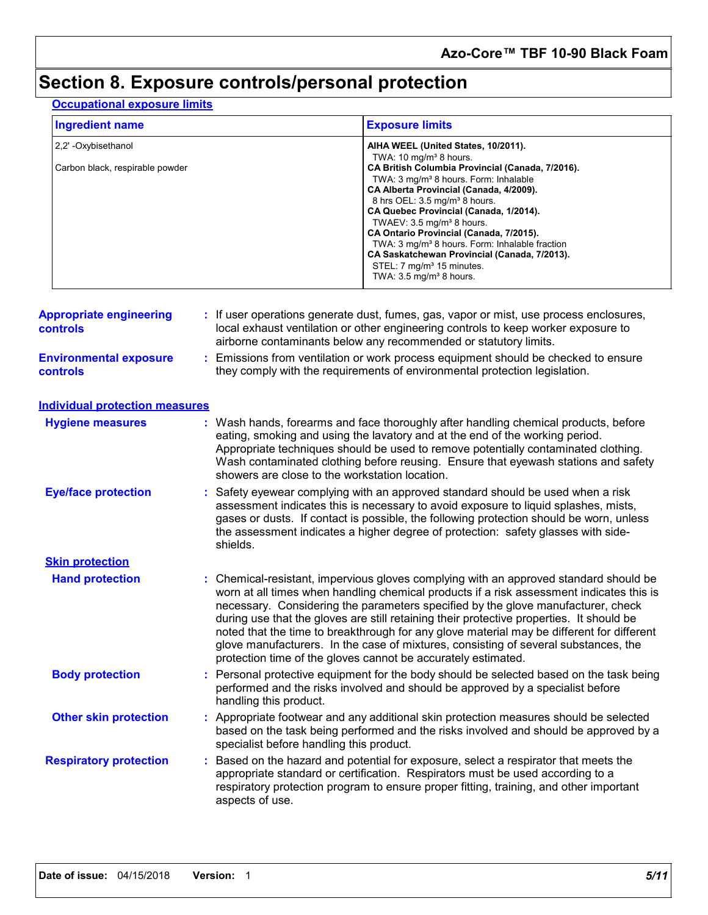## **Section 8. Exposure controls/personal protection**

### **Occupational exposure limits**

| <b>Ingredient name</b>          | <b>Exposure limits</b>                                                                                                                                                                                                                                                                                                                                                                                                         |
|---------------------------------|--------------------------------------------------------------------------------------------------------------------------------------------------------------------------------------------------------------------------------------------------------------------------------------------------------------------------------------------------------------------------------------------------------------------------------|
| 2.2' - Oxybisethanol            | AIHA WEEL (United States, 10/2011).                                                                                                                                                                                                                                                                                                                                                                                            |
| Carbon black, respirable powder | TWA: $10 \text{ mg/m}^3$ 8 hours.<br>CA British Columbia Provincial (Canada, 7/2016).<br>TWA: 3 mg/m <sup>3</sup> 8 hours. Form: Inhalable<br>CA Alberta Provincial (Canada, 4/2009).<br>8 hrs OEL: 3.5 mg/m <sup>3</sup> 8 hours.<br>CA Quebec Provincial (Canada, 1/2014).<br>TWAEV: 3.5 mg/m <sup>3</sup> 8 hours.<br>CA Ontario Provincial (Canada, 7/2015).<br>TWA: 3 mg/m <sup>3</sup> 8 hours. Form: Inhalable fraction |
|                                 | CA Saskatchewan Provincial (Canada, 7/2013).<br>STEL: 7 mg/m <sup>3</sup> 15 minutes.<br>TWA: $3.5 \text{ mg/m}^3$ 8 hours.                                                                                                                                                                                                                                                                                                    |

| <b>Appropriate engineering</b><br><b>controls</b> |    | : If user operations generate dust, fumes, gas, vapor or mist, use process enclosures,<br>local exhaust ventilation or other engineering controls to keep worker exposure to<br>airborne contaminants below any recommended or statutory limits.                                                                                                                                                                                                                                                                                                                                                                       |  |  |  |
|---------------------------------------------------|----|------------------------------------------------------------------------------------------------------------------------------------------------------------------------------------------------------------------------------------------------------------------------------------------------------------------------------------------------------------------------------------------------------------------------------------------------------------------------------------------------------------------------------------------------------------------------------------------------------------------------|--|--|--|
| <b>Environmental exposure</b><br><b>controls</b>  |    | Emissions from ventilation or work process equipment should be checked to ensure<br>they comply with the requirements of environmental protection legislation.                                                                                                                                                                                                                                                                                                                                                                                                                                                         |  |  |  |
| <b>Individual protection measures</b>             |    |                                                                                                                                                                                                                                                                                                                                                                                                                                                                                                                                                                                                                        |  |  |  |
| <b>Hygiene measures</b>                           |    | : Wash hands, forearms and face thoroughly after handling chemical products, before<br>eating, smoking and using the lavatory and at the end of the working period.<br>Appropriate techniques should be used to remove potentially contaminated clothing.<br>Wash contaminated clothing before reusing. Ensure that eyewash stations and safety<br>showers are close to the workstation location.                                                                                                                                                                                                                      |  |  |  |
| <b>Eye/face protection</b>                        | ÷. | Safety eyewear complying with an approved standard should be used when a risk<br>assessment indicates this is necessary to avoid exposure to liquid splashes, mists,<br>gases or dusts. If contact is possible, the following protection should be worn, unless<br>the assessment indicates a higher degree of protection: safety glasses with side-<br>shields.                                                                                                                                                                                                                                                       |  |  |  |
| <b>Skin protection</b>                            |    |                                                                                                                                                                                                                                                                                                                                                                                                                                                                                                                                                                                                                        |  |  |  |
| <b>Hand protection</b>                            |    | : Chemical-resistant, impervious gloves complying with an approved standard should be<br>worn at all times when handling chemical products if a risk assessment indicates this is<br>necessary. Considering the parameters specified by the glove manufacturer, check<br>during use that the gloves are still retaining their protective properties. It should be<br>noted that the time to breakthrough for any glove material may be different for different<br>glove manufacturers. In the case of mixtures, consisting of several substances, the<br>protection time of the gloves cannot be accurately estimated. |  |  |  |
| <b>Body protection</b>                            |    | Personal protective equipment for the body should be selected based on the task being<br>performed and the risks involved and should be approved by a specialist before<br>handling this product.                                                                                                                                                                                                                                                                                                                                                                                                                      |  |  |  |
| <b>Other skin protection</b>                      |    | Appropriate footwear and any additional skin protection measures should be selected<br>based on the task being performed and the risks involved and should be approved by a<br>specialist before handling this product.                                                                                                                                                                                                                                                                                                                                                                                                |  |  |  |
| <b>Respiratory protection</b>                     |    | Based on the hazard and potential for exposure, select a respirator that meets the<br>appropriate standard or certification. Respirators must be used according to a<br>respiratory protection program to ensure proper fitting, training, and other important<br>aspects of use.                                                                                                                                                                                                                                                                                                                                      |  |  |  |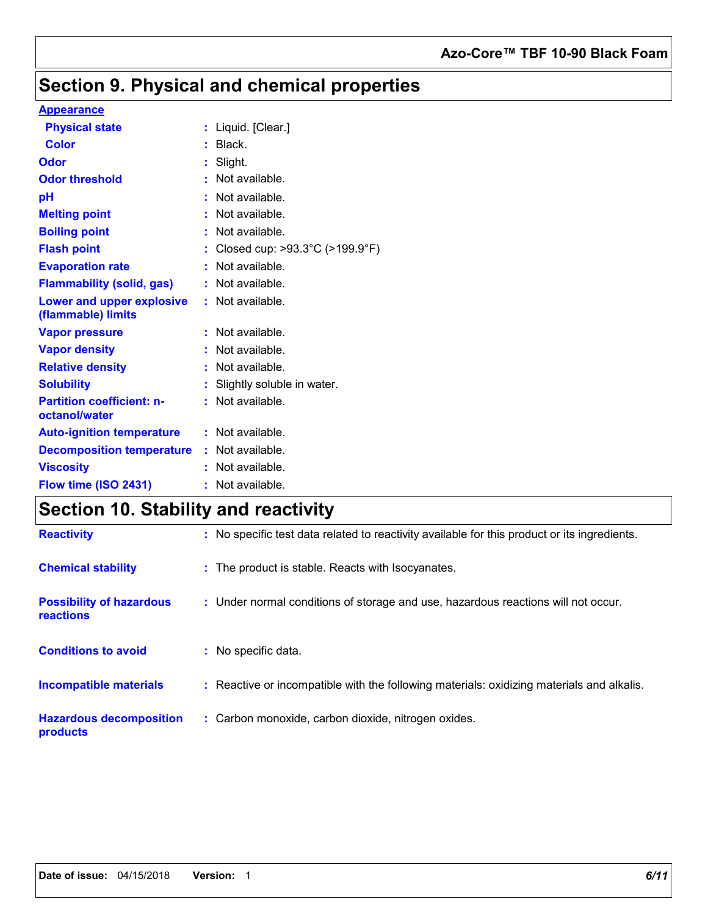### **Azo-Core™ TBF 10-90 Black Foam**

## **Section 9. Physical and chemical properties**

#### **Appearance**

| <b>Physical state</b>                                  |    | Liquid. [Clear.]               |
|--------------------------------------------------------|----|--------------------------------|
| <b>Color</b>                                           |    | Black.                         |
| <b>Odor</b>                                            |    | Slight.                        |
| <b>Odor threshold</b>                                  |    | Not available.                 |
| рH                                                     |    | Not available.                 |
| <b>Melting point</b>                                   |    | Not available.                 |
| <b>Boiling point</b>                                   |    | Not available.                 |
| <b>Flash point</b>                                     |    | Closed cup: >93.3°C (>199.9°F) |
| <b>Evaporation rate</b>                                | t. | Not available.                 |
| <b>Flammability (solid, gas)</b>                       |    | Not available.                 |
| <b>Lower and upper explosive</b><br>(flammable) limits |    | : Not available.               |
| <b>Vapor pressure</b>                                  |    | Not available.                 |
| <b>Vapor density</b>                                   |    | Not available.                 |
| <b>Relative density</b>                                |    | $:$ Not available.             |
| <b>Solubility</b>                                      |    | Slightly soluble in water.     |
| <b>Partition coefficient: n-</b><br>octanol/water      |    | $:$ Not available.             |
| <b>Auto-ignition temperature</b>                       |    | $:$ Not available.             |
| <b>Decomposition temperature</b>                       |    | $:$ Not available.             |
| <b>Viscosity</b>                                       |    | Not available.                 |
| Flow time (ISO 2431)                                   |    | : Not available.               |

# **Section 10. Stability and reactivity**

| <b>Reactivity</b>                            | : No specific test data related to reactivity available for this product or its ingredients. |
|----------------------------------------------|----------------------------------------------------------------------------------------------|
| <b>Chemical stability</b>                    | : The product is stable. Reacts with Isocyanates.                                            |
| <b>Possibility of hazardous</b><br>reactions | : Under normal conditions of storage and use, hazardous reactions will not occur.            |
| <b>Conditions to avoid</b>                   | : No specific data.                                                                          |
| <b>Incompatible materials</b>                | : Reactive or incompatible with the following materials: oxidizing materials and alkalis.    |
| <b>Hazardous decomposition</b><br>products   | : Carbon monoxide, carbon dioxide, nitrogen oxides.                                          |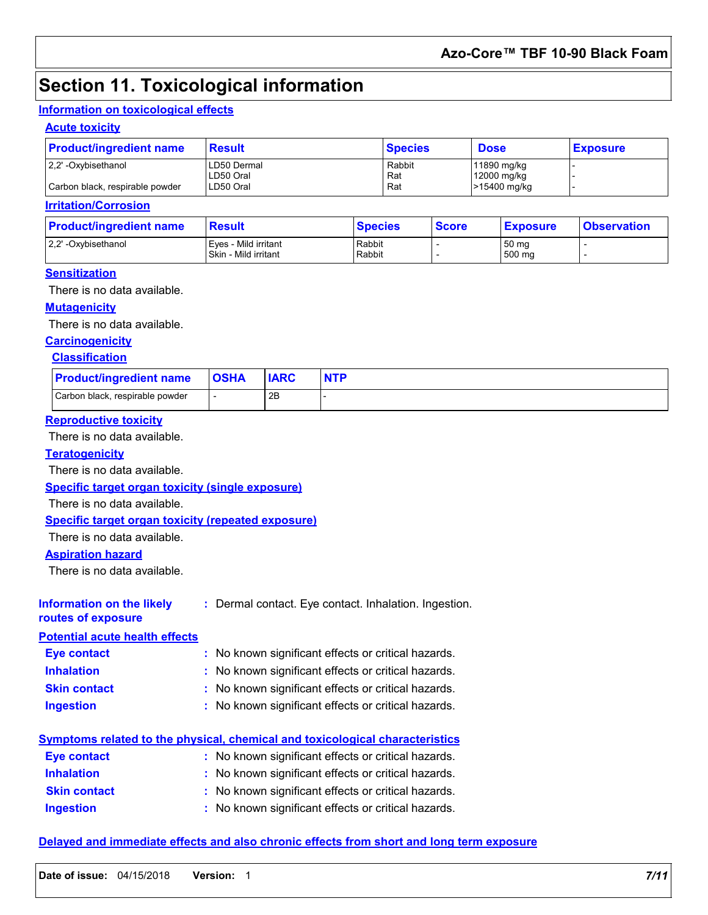### **Section 11. Toxicological information**

#### **Information on toxicological effects**

#### **Acute toxicity**

| <b>Product/ingredient name</b>  | <b>Result</b> | <b>Species</b> | <b>Dose</b>  | <b>Exposure</b> |
|---------------------------------|---------------|----------------|--------------|-----------------|
| 2.2' -Oxybisethanol             | LD50 Dermal   | Rabbit         | 11890 mg/kg  |                 |
|                                 | LD50 Oral     | Rat            | 12000 mg/kg  |                 |
| Carbon black, respirable powder | LD50 Oral     | Rat            | >15400 mg/kg |                 |

#### **Irritation/Corrosion**

| <b>Product/ingredient name</b> | <b>Result</b>                                | <b>Species</b>   | <b>Score</b> | <b>Exposure</b> | <b>Observation</b> |
|--------------------------------|----------------------------------------------|------------------|--------------|-----------------|--------------------|
| 2.2' -Oxybisethanol            | Eves - Mild irritant<br>Skin - Mild irritant | Rabbit<br>Rabbit |              | 50 mg<br>500 mg |                    |

#### **Sensitization**

There is no data available.

#### **Mutagenicity**

There is no data available.

### **Carcinogenicity**

#### **Classification**

| <b>Product/ingredient name</b>  | <b>OSHA</b> | <b>IARC</b> |  |
|---------------------------------|-------------|-------------|--|
| Carbon black, respirable powder |             | 2B          |  |

#### **Reproductive toxicity**

There is no data available.

#### **Teratogenicity**

There is no data available.

**Specific target organ toxicity (single exposure)**

There is no data available.

#### **Specific target organ toxicity (repeated exposure)**

There is no data available.

#### **Aspiration hazard**

There is no data available.

#### **Information on the likely routes of exposure**

**:** Dermal contact. Eye contact. Inhalation. Ingestion.

### **Potential acute health effects**

| - Ywniad avulu nydia yn ywy |                                                     |
|-----------------------------|-----------------------------------------------------|
| <b>Eye contact</b>          | : No known significant effects or critical hazards. |
| <b>Inhalation</b>           | : No known significant effects or critical hazards. |
| <b>Skin contact</b>         | : No known significant effects or critical hazards. |
| <b>Ingestion</b>            | : No known significant effects or critical hazards. |

### **Symptoms related to the physical, chemical and toxicological characteristics**

| Eye contact         | : No known significant effects or critical hazards. |
|---------------------|-----------------------------------------------------|
| <b>Inhalation</b>   | : No known significant effects or critical hazards. |
| <b>Skin contact</b> | : No known significant effects or critical hazards. |
| <b>Ingestion</b>    | : No known significant effects or critical hazards. |

#### **Delayed and immediate effects and also chronic effects from short and long term exposure**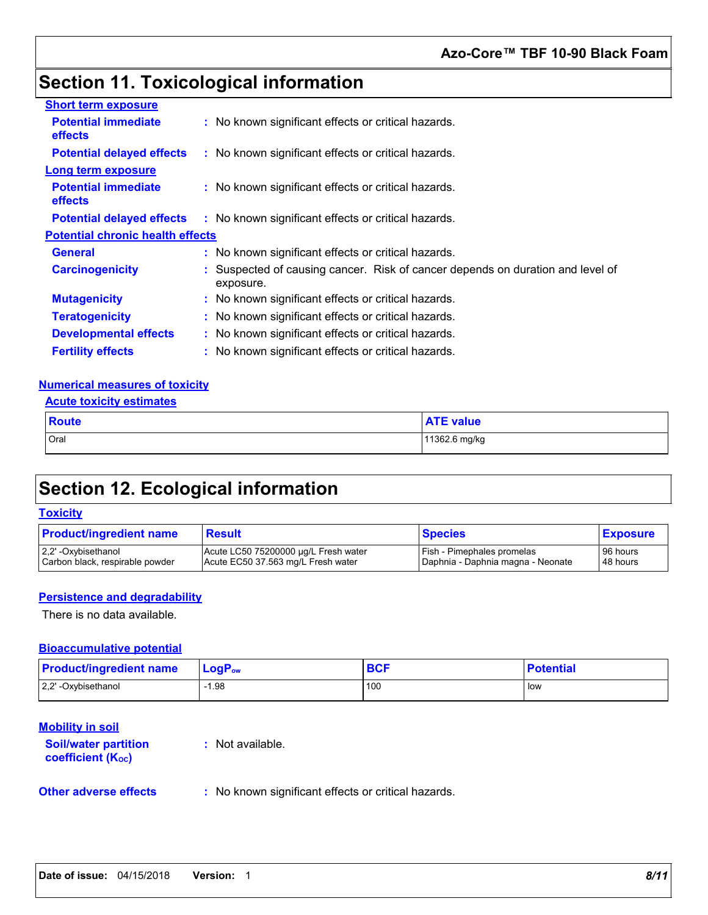## **Section 11. Toxicological information**

| <b>Short term exposure</b>                   |                                                                                           |
|----------------------------------------------|-------------------------------------------------------------------------------------------|
| <b>Potential immediate</b><br><b>effects</b> | : No known significant effects or critical hazards.                                       |
| <b>Potential delayed effects</b>             | : No known significant effects or critical hazards.                                       |
| <b>Long term exposure</b>                    |                                                                                           |
| <b>Potential immediate</b><br><b>effects</b> | : No known significant effects or critical hazards.                                       |
| <b>Potential delayed effects</b>             | : No known significant effects or critical hazards.                                       |
| <b>Potential chronic health effects</b>      |                                                                                           |
| <b>General</b>                               | : No known significant effects or critical hazards.                                       |
| <b>Carcinogenicity</b>                       | Suspected of causing cancer. Risk of cancer depends on duration and level of<br>exposure. |
| <b>Mutagenicity</b>                          | : No known significant effects or critical hazards.                                       |
| <b>Teratogenicity</b>                        | : No known significant effects or critical hazards.                                       |
| <b>Developmental effects</b>                 | : No known significant effects or critical hazards.                                       |
| <b>Fertility effects</b>                     | : No known significant effects or critical hazards.                                       |

#### **Numerical measures of toxicity**

#### **Acute toxicity estimates**

| <b>Route</b> | <b>ATE value</b> |
|--------------|------------------|
| Oral         | 11362.6 mg/kg    |

## **Section 12. Ecological information**

#### **Toxicity**

| <b>Product/ingredient name</b>  | Result                               | <b>Species</b>                    | <b>Exposure</b> |
|---------------------------------|--------------------------------------|-----------------------------------|-----------------|
| 2.2' -Oxybisethanol             | Acute LC50 75200000 µg/L Fresh water | I Fish - Pimephales promelas      | 96 hours        |
| Carbon black, respirable powder | Acute EC50 37.563 mg/L Fresh water   | Daphnia - Daphnia magna - Neonate | 48 hours        |

#### **Persistence and degradability**

There is no data available.

#### **Bioaccumulative potential**

| <b>Product/ingredient name</b> | $\mathsf{LocP}_\mathsf{ow}$ |     | <b>Potential</b> |
|--------------------------------|-----------------------------|-----|------------------|
| 2,2' -Oxybisethanol            | .98                         | 100 | low              |

#### **Mobility in soil**

**Soil/water partition coefficient (Koc) :** Not available.

**Other adverse effects** : No known significant effects or critical hazards.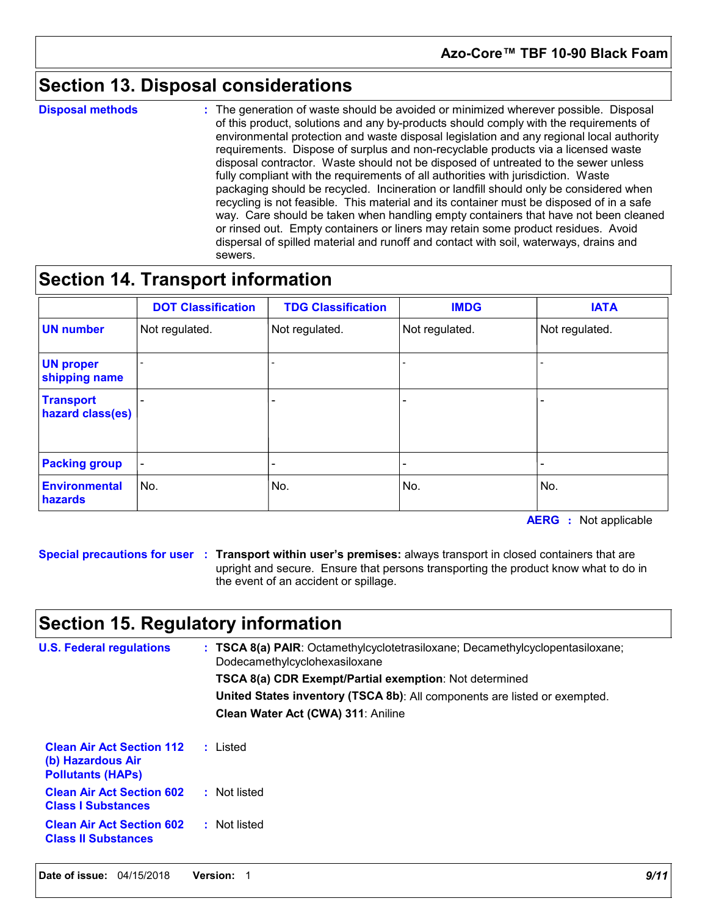### **Section 13. Disposal considerations**

**Disposal methods :**

The generation of waste should be avoided or minimized wherever possible. Disposal of this product, solutions and any by-products should comply with the requirements of environmental protection and waste disposal legislation and any regional local authority requirements. Dispose of surplus and non-recyclable products via a licensed waste disposal contractor. Waste should not be disposed of untreated to the sewer unless fully compliant with the requirements of all authorities with jurisdiction. Waste packaging should be recycled. Incineration or landfill should only be considered when recycling is not feasible. This material and its container must be disposed of in a safe way. Care should be taken when handling empty containers that have not been cleaned or rinsed out. Empty containers or liners may retain some product residues. Avoid dispersal of spilled material and runoff and contact with soil, waterways, drains and sewers.

### **Section 14. Transport information**

|                                      | <b>DOT Classification</b> | <b>TDG Classification</b> | <b>IMDG</b>    | <b>IATA</b>    |
|--------------------------------------|---------------------------|---------------------------|----------------|----------------|
| <b>UN number</b>                     | Not regulated.            | Not regulated.            | Not regulated. | Not regulated. |
| <b>UN proper</b><br>shipping name    |                           |                           |                |                |
| <b>Transport</b><br>hazard class(es) |                           |                           |                |                |
| <b>Packing group</b>                 |                           |                           |                |                |
| <b>Environmental</b><br>hazards      | No.                       | No.                       | No.            | No.            |

**AERG :** Not applicable

**Special precautions for user Transport within user's premises:** always transport in closed containers that are **:** upright and secure. Ensure that persons transporting the product know what to do in the event of an accident or spillage.

### **Section 15. Regulatory information**

| <b>U.S. Federal regulations</b>                                                   | : TSCA 8(a) PAIR: Octamethylcyclotetrasiloxane; Decamethylcyclopentasiloxane;<br>Dodecamethylcyclohexasiloxane |  |
|-----------------------------------------------------------------------------------|----------------------------------------------------------------------------------------------------------------|--|
|                                                                                   | <b>TSCA 8(a) CDR Exempt/Partial exemption:</b> Not determined                                                  |  |
|                                                                                   | United States inventory (TSCA 8b): All components are listed or exempted.                                      |  |
|                                                                                   | Clean Water Act (CWA) 311: Aniline                                                                             |  |
| <b>Clean Air Act Section 112</b><br>(b) Hazardous Air<br><b>Pollutants (HAPS)</b> | : Listed                                                                                                       |  |
| <b>Clean Air Act Section 602</b><br><b>Class I Substances</b>                     | : Not listed                                                                                                   |  |
| <b>Clean Air Act Section 602</b><br><b>Class II Substances</b>                    | : Not listed                                                                                                   |  |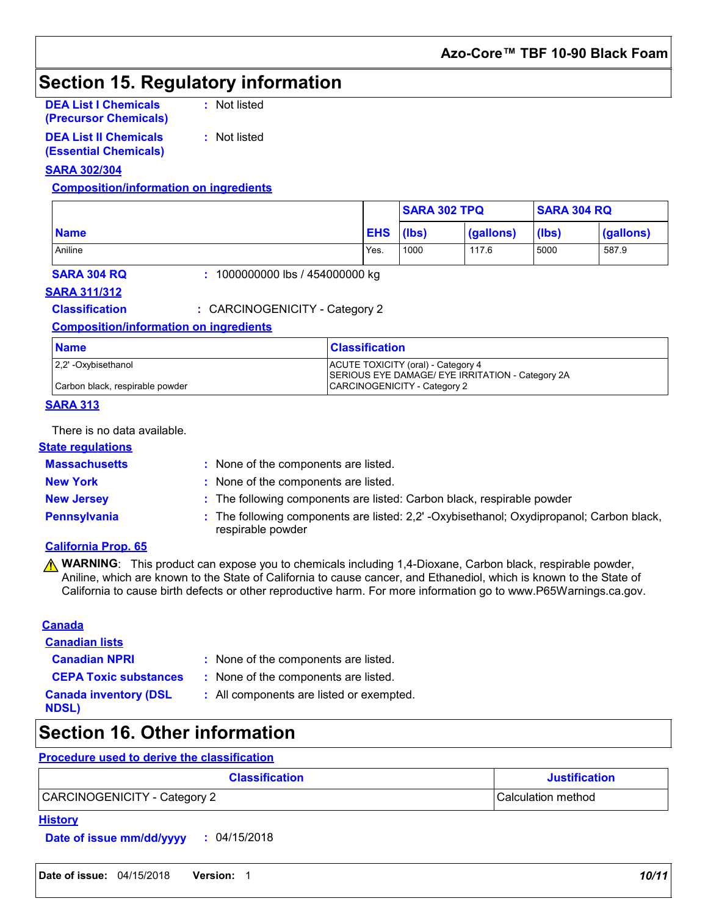## **Section 15. Regulatory information**

**DEA List I Chemicals (Precursor Chemicals)** **:** Not listed

**DEA List II Chemicals (Essential Chemicals)**

**:** Not listed

#### **SARA 302/304**

#### **Composition/information on ingredients**

|             |            | <b>SARA 302 TPQ</b> |           | <b>SARA 304 RQ</b> |           |
|-------------|------------|---------------------|-----------|--------------------|-----------|
| <b>Name</b> | <b>EHS</b> | (lbs)               | (gallons) | (lbs)              | (gallons) |
| Aniline     | Yes.       | 1000                | 117.6     | 5000               | 587.9     |

**SARA 304 RQ :** 1000000000 lbs / 454000000 kg

#### **SARA 311/312**

**Classification :** CARCINOGENICITY - Category 2

#### **Composition/information on ingredients**

| <b>Name</b>                     | <b>Classification</b>                                                                  |
|---------------------------------|----------------------------------------------------------------------------------------|
| 2.2' -Oxybisethanol             | ACUTE TOXICITY (oral) - Category 4<br>SERIOUS EYE DAMAGE/ EYE IRRITATION - Category 2A |
| Carbon black, respirable powder | CARCINOGENICITY - Category 2                                                           |

#### **SARA 313**

There is no data available.

#### **State regulations**

**Massachusetts :**

: None of the components are listed.

- -
- **New York :** None of the components are listed.
- 
- **New Jersey :** The following components are listed: Carbon black, respirable powder
- 
- **Pennsylvania 1992 :** The following components are listed: 2,2' -Oxybisethanol; Oxydipropanol; Carbon black, respirable powder

### **California Prop. 65**

**A WARNING**: This product can expose you to chemicals including 1,4-Dioxane, Carbon black, respirable powder, Aniline, which are known to the State of California to cause cancer, and Ethanediol, which is known to the State of California to cause birth defects or other reproductive harm. For more information go to www.P65Warnings.ca.gov.

#### **Canada**

**Canadian lists**

- 
- **Canadian NPRI :** None of the components are listed.
- 
- **CEPA Toxic substances :** None of the components are listed.

**Canada inventory (DSL NDSL)**

**:** All components are listed or exempted.

## **Section 16. Other information**

### **Procedure used to derive the classification**

| <b>Classification</b>        | <b>Justification</b>       |
|------------------------------|----------------------------|
| CARCINOGENICITY - Category 2 | <b>ICalculation method</b> |

#### **History**

**Date of issue mm/dd/yyyy :** 04/15/2018